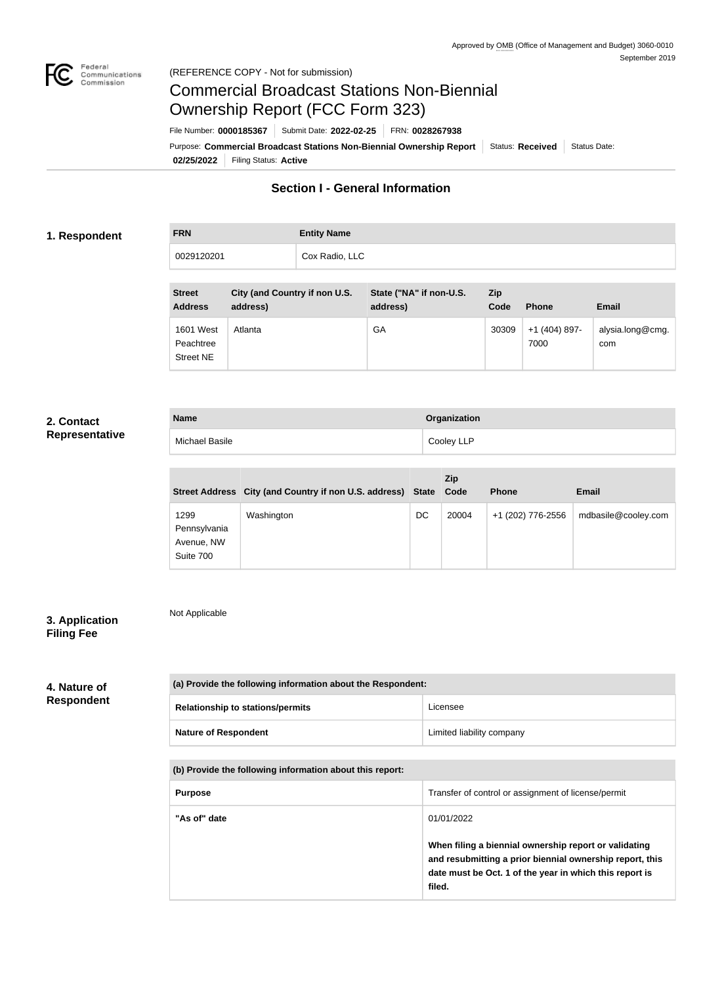

Not Applicable

# Commercial Broadcast Stations Non-Biennial Ownership Report (FCC Form 323)

**02/25/2022** Filing Status: **Active** Purpose: Commercial Broadcast Stations Non-Biennial Ownership Report Status: Received Status Date: File Number: **0000185367** Submit Date: **2022-02-25** FRN: **0028267938**

# **Section I - General Information**

# **1. Respondent**

**FRN Entity Name** 0029120201 Cox Radio, LLC

| <b>Street</b><br><b>Address</b>                   | City (and Country if non U.S.<br>address) | State ("NA" if non-U.S.<br>address) | <b>Zip</b><br>Code | <b>Phone</b>          | <b>Email</b>            |
|---------------------------------------------------|-------------------------------------------|-------------------------------------|--------------------|-----------------------|-------------------------|
| <b>1601 West</b><br>Peachtree<br><b>Street NE</b> | Atlanta                                   | GA                                  | 30309              | +1 (404) 897-<br>7000 | alysia.long@cmg.<br>com |

# **2. Contact Representative**

| <b>Name</b>    | Organization |
|----------------|--------------|
| Michael Basile | Cooley LLP   |

|                                                 |                                                             |    | Zip   |                   |                     |
|-------------------------------------------------|-------------------------------------------------------------|----|-------|-------------------|---------------------|
|                                                 | Street Address City (and Country if non U.S. address) State |    | Code  | <b>Phone</b>      | <b>Email</b>        |
| 1299<br>Pennsylvania<br>Avenue, NW<br>Suite 700 | Washington                                                  | DC | 20004 | +1 (202) 776-2556 | mdbasile@cooley.com |

# **3. Application Filing Fee**

# **4. Nature of Respondent**

| (a) Provide the following information about the Respondent: |                           |  |
|-------------------------------------------------------------|---------------------------|--|
| <b>Relationship to stations/permits</b>                     | Licensee                  |  |
| <b>Nature of Respondent</b>                                 | Limited liability company |  |

| <b>Purpose</b> | Transfer of control or assignment of license/permit                                                                                                                                    |
|----------------|----------------------------------------------------------------------------------------------------------------------------------------------------------------------------------------|
| "As of" date   | 01/01/2022                                                                                                                                                                             |
|                | When filing a biennial ownership report or validating<br>and resubmitting a prior biennial ownership report, this<br>date must be Oct. 1 of the year in which this report is<br>filed. |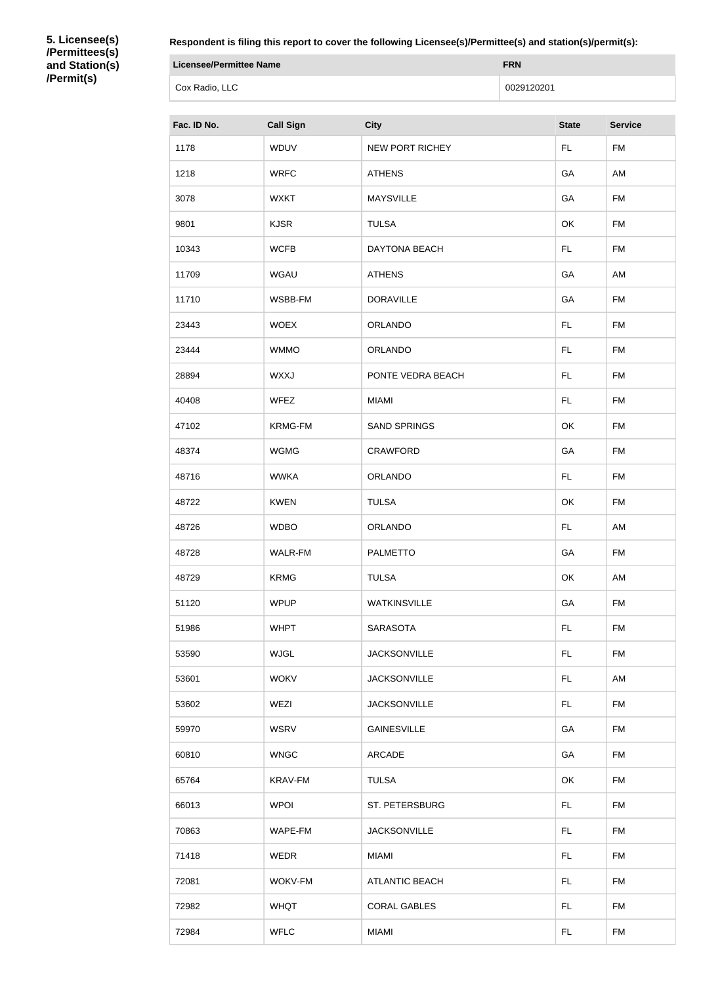**5. Licensee(s) /Permittees(s) and Station(s) /Permit(s)**

**Respondent is filing this report to cover the following Licensee(s)/Permittee(s) and station(s)/permit(s):**

| <b>Licensee/Permittee Name</b> | <b>FRN</b> |
|--------------------------------|------------|
| Cox Radio, LLC                 | 0029120201 |

| Fac. ID No. | <b>Call Sign</b> | <b>City</b>            | <b>State</b> | <b>Service</b> |
|-------------|------------------|------------------------|--------------|----------------|
| 1178        | WDUV             | <b>NEW PORT RICHEY</b> | FL.          | <b>FM</b>      |
| 1218        | <b>WRFC</b>      | <b>ATHENS</b>          | GA           | AM             |
| 3078        | <b>WXKT</b>      | <b>MAYSVILLE</b>       | GA           | <b>FM</b>      |
| 9801        | <b>KJSR</b>      | <b>TULSA</b>           | OK           | <b>FM</b>      |
| 10343       | <b>WCFB</b>      | <b>DAYTONA BEACH</b>   | FL.          | FM             |
| 11709       | <b>WGAU</b>      | <b>ATHENS</b>          | GA           | AM             |
| 11710       | WSBB-FM          | <b>DORAVILLE</b>       | GA           | <b>FM</b>      |
| 23443       | <b>WOEX</b>      | <b>ORLANDO</b>         | FL.          | <b>FM</b>      |
| 23444       | <b>WMMO</b>      | ORLANDO                | FL.          | <b>FM</b>      |
| 28894       | <b>WXXJ</b>      | PONTE VEDRA BEACH      | FL           | <b>FM</b>      |
| 40408       | WFEZ             | <b>MIAMI</b>           | FL.          | <b>FM</b>      |
| 47102       | KRMG-FM          | <b>SAND SPRINGS</b>    | OK           | <b>FM</b>      |
| 48374       | <b>WGMG</b>      | <b>CRAWFORD</b>        | GA           | FM             |
| 48716       | <b>WWKA</b>      | ORLANDO                | FL.          | <b>FM</b>      |
| 48722       | <b>KWEN</b>      | <b>TULSA</b>           | OK           | <b>FM</b>      |
| 48726       | <b>WDBO</b>      | <b>ORLANDO</b>         | FL.          | AM             |
| 48728       | WALR-FM          | <b>PALMETTO</b>        | GA           | <b>FM</b>      |
| 48729       | <b>KRMG</b>      | <b>TULSA</b>           | OK           | AM             |
| 51120       | <b>WPUP</b>      | <b>WATKINSVILLE</b>    | GA           | <b>FM</b>      |
| 51986       | <b>WHPT</b>      | <b>SARASOTA</b>        | FL.          | <b>FM</b>      |
| 53590       | <b>WJGL</b>      | <b>JACKSONVILLE</b>    | FL.          | FM             |
| 53601       | <b>WOKV</b>      | <b>JACKSONVILLE</b>    | FL.          | AM             |
| 53602       | WEZI             | <b>JACKSONVILLE</b>    | FL.          | <b>FM</b>      |
| 59970       | <b>WSRV</b>      | <b>GAINESVILLE</b>     | GA           | <b>FM</b>      |
| 60810       | <b>WNGC</b>      | ARCADE                 | GA           | FM             |
| 65764       | <b>KRAV-FM</b>   | <b>TULSA</b>           | OK           | <b>FM</b>      |
| 66013       | <b>WPOI</b>      | ST. PETERSBURG         | FL.          | <b>FM</b>      |
| 70863       | WAPE-FM          | <b>JACKSONVILLE</b>    | FL.          | <b>FM</b>      |
| 71418       | WEDR             | <b>MIAMI</b>           | FL.          | FM             |
| 72081       | WOKV-FM          | <b>ATLANTIC BEACH</b>  | FL.          | <b>FM</b>      |
| 72982       | <b>WHQT</b>      | <b>CORAL GABLES</b>    | FL.          | <b>FM</b>      |
| 72984       | <b>WFLC</b>      | <b>MIAMI</b>           | <b>FL</b>    | <b>FM</b>      |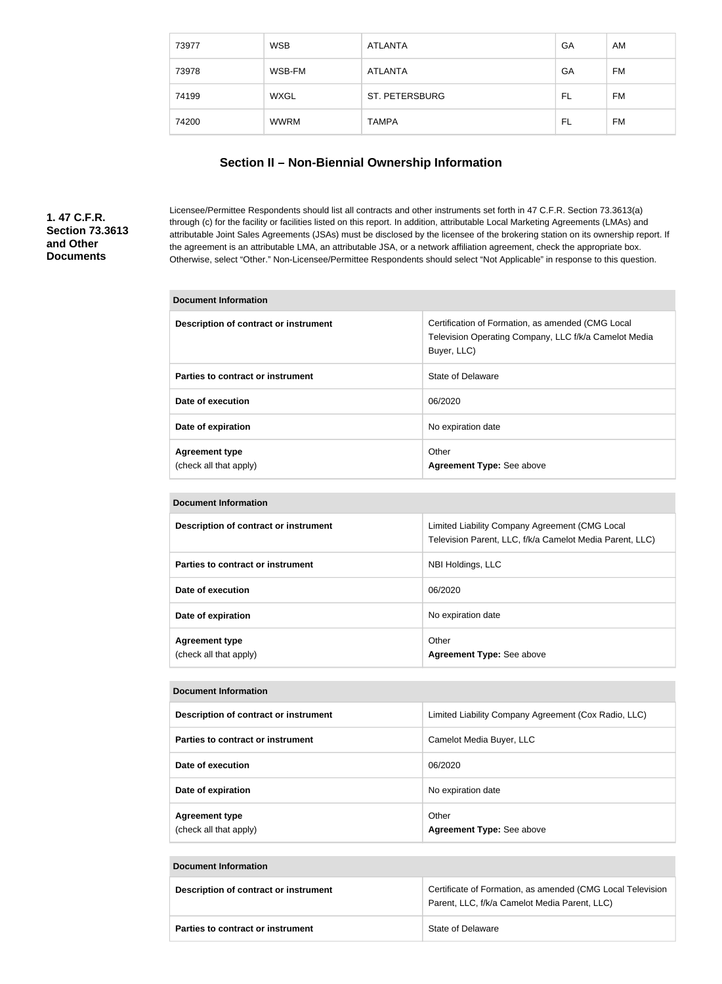| 73977 | <b>WSB</b>  | <b>ATLANTA</b>        | GA | AM        |
|-------|-------------|-----------------------|----|-----------|
| 73978 | WSB-FM      | <b>ATLANTA</b>        | GA | <b>FM</b> |
| 74199 | <b>WXGL</b> | <b>ST. PETERSBURG</b> | FL | <b>FM</b> |
| 74200 | WWRM        | <b>TAMPA</b>          | FL | <b>FM</b> |

# **Section II – Non-Biennial Ownership Information**

# **1. 47 C.F.R. Section 73.3613 and Other Documents**

Licensee/Permittee Respondents should list all contracts and other instruments set forth in 47 C.F.R. Section 73.3613(a) through (c) for the facility or facilities listed on this report. In addition, attributable Local Marketing Agreements (LMAs) and attributable Joint Sales Agreements (JSAs) must be disclosed by the licensee of the brokering station on its ownership report. If the agreement is an attributable LMA, an attributable JSA, or a network affiliation agreement, check the appropriate box. Otherwise, select "Other." Non-Licensee/Permittee Respondents should select "Not Applicable" in response to this question.

| <b>Document Information</b>                     |                                                                                                                           |
|-------------------------------------------------|---------------------------------------------------------------------------------------------------------------------------|
| Description of contract or instrument           | Certification of Formation, as amended (CMG Local<br>Television Operating Company, LLC f/k/a Camelot Media<br>Buyer, LLC) |
| Parties to contract or instrument               | State of Delaware                                                                                                         |
| Date of execution                               | 06/2020                                                                                                                   |
| Date of expiration                              | No expiration date                                                                                                        |
| <b>Agreement type</b><br>(check all that apply) | Other<br>Agreement Type: See above                                                                                        |

| <b>Document Information</b>                     |                                                                                                            |
|-------------------------------------------------|------------------------------------------------------------------------------------------------------------|
| Description of contract or instrument           | Limited Liability Company Agreement (CMG Local<br>Television Parent, LLC, f/k/a Camelot Media Parent, LLC) |
| Parties to contract or instrument               | NBI Holdings, LLC                                                                                          |
| Date of execution                               | 06/2020                                                                                                    |
| Date of expiration                              | No expiration date                                                                                         |
| <b>Agreement type</b><br>(check all that apply) | Other<br>Agreement Type: See above                                                                         |

| Document Information                            |                                                      |  |  |
|-------------------------------------------------|------------------------------------------------------|--|--|
| Description of contract or instrument           | Limited Liability Company Agreement (Cox Radio, LLC) |  |  |
| Parties to contract or instrument               | Camelot Media Buyer, LLC                             |  |  |
| Date of execution                               | 06/2020                                              |  |  |
| Date of expiration                              | No expiration date                                   |  |  |
| <b>Agreement type</b><br>(check all that apply) | Other<br>Agreement Type: See above                   |  |  |

| Description of contract or instrument    | Certificate of Formation, as amended (CMG Local Television<br>Parent, LLC, f/k/a Camelot Media Parent, LLC) |
|------------------------------------------|-------------------------------------------------------------------------------------------------------------|
| <b>Parties to contract or instrument</b> | State of Delaware                                                                                           |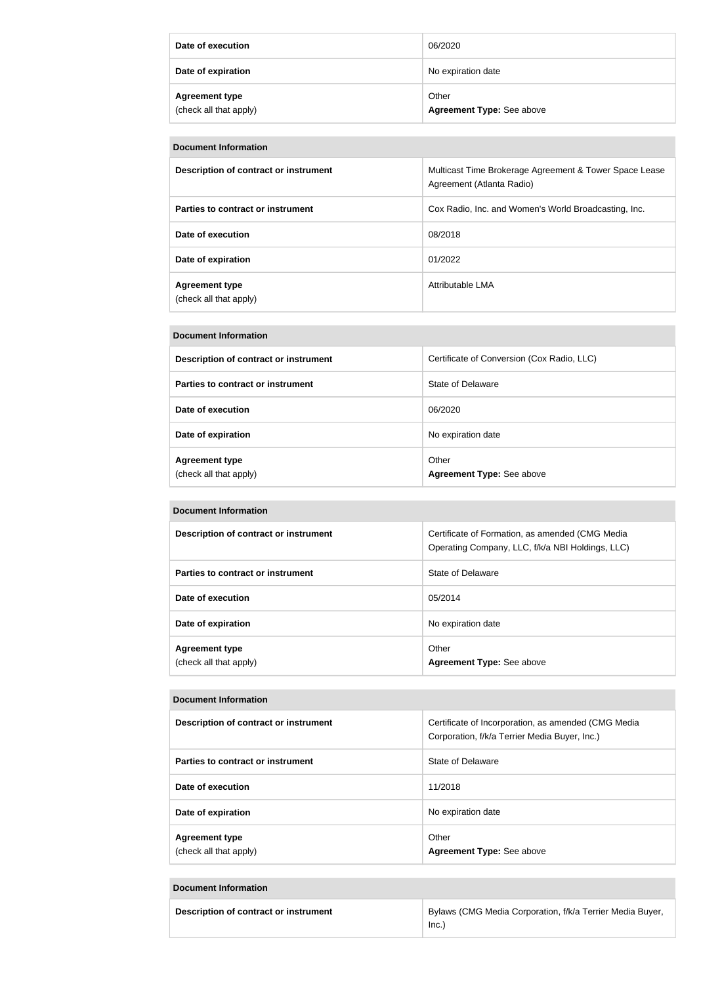| Date of execution                               | 06/2020                                   |
|-------------------------------------------------|-------------------------------------------|
| Date of expiration                              | No expiration date                        |
| <b>Agreement type</b><br>(check all that apply) | Other<br><b>Agreement Type: See above</b> |

| <b>Document Information</b>                     |                                                                                     |
|-------------------------------------------------|-------------------------------------------------------------------------------------|
| Description of contract or instrument           | Multicast Time Brokerage Agreement & Tower Space Lease<br>Agreement (Atlanta Radio) |
| Parties to contract or instrument               | Cox Radio, Inc. and Women's World Broadcasting, Inc.                                |
| Date of execution                               | 08/2018                                                                             |
| Date of expiration                              | 01/2022                                                                             |
| <b>Agreement type</b><br>(check all that apply) | Attributable LMA                                                                    |

| <b>Document Information</b> |
|-----------------------------|
|                             |

| Description of contract or instrument           | Certificate of Conversion (Cox Radio, LLC) |
|-------------------------------------------------|--------------------------------------------|
| Parties to contract or instrument               | State of Delaware                          |
| Date of execution                               | 06/2020                                    |
| Date of expiration                              | No expiration date                         |
| <b>Agreement type</b><br>(check all that apply) | Other<br><b>Agreement Type: See above</b>  |

| <b>Document Information</b>                     |                                                                                                     |
|-------------------------------------------------|-----------------------------------------------------------------------------------------------------|
| Description of contract or instrument           | Certificate of Formation, as amended (CMG Media<br>Operating Company, LLC, f/k/a NBI Holdings, LLC) |
| Parties to contract or instrument               | State of Delaware                                                                                   |
| Date of execution                               | 05/2014                                                                                             |
| Date of expiration                              | No expiration date                                                                                  |
| <b>Agreement type</b><br>(check all that apply) | Other<br>Agreement Type: See above                                                                  |

| Description of contract or instrument           | Certificate of Incorporation, as amended (CMG Media<br>Corporation, f/k/a Terrier Media Buyer, Inc.) |
|-------------------------------------------------|------------------------------------------------------------------------------------------------------|
| Parties to contract or instrument               | State of Delaware                                                                                    |
| Date of execution                               | 11/2018                                                                                              |
| Date of expiration                              | No expiration date                                                                                   |
| <b>Agreement type</b><br>(check all that apply) | Other<br>Agreement Type: See above                                                                   |

| Description of contract or instrument | Bylaws (CMG Media Corporation, f/k/a Terrier Media Buyer, |
|---------------------------------------|-----------------------------------------------------------|
|                                       | lnc                                                       |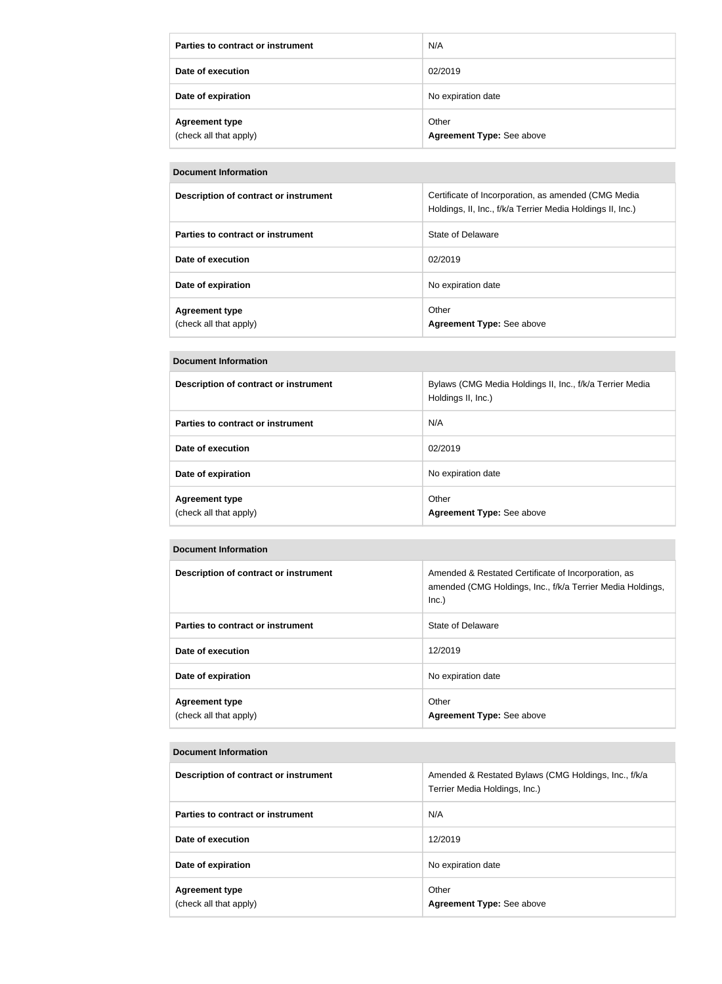| Parties to contract or instrument               | N/A                                |
|-------------------------------------------------|------------------------------------|
| Date of execution                               | 02/2019                            |
| Date of expiration                              | No expiration date                 |
| <b>Agreement type</b><br>(check all that apply) | Other<br>Agreement Type: See above |

| Description of contract or instrument           | Certificate of Incorporation, as amended (CMG Media<br>Holdings, II, Inc., f/k/a Terrier Media Holdings II, Inc.) |
|-------------------------------------------------|-------------------------------------------------------------------------------------------------------------------|
| Parties to contract or instrument               | State of Delaware                                                                                                 |
| Date of execution                               | 02/2019                                                                                                           |
| Date of expiration                              | No expiration date                                                                                                |
| <b>Agreement type</b><br>(check all that apply) | Other<br><b>Agreement Type: See above</b>                                                                         |

# **Document Information**

| Description of contract or instrument           | Bylaws (CMG Media Holdings II, Inc., f/k/a Terrier Media<br>Holdings II, Inc.) |
|-------------------------------------------------|--------------------------------------------------------------------------------|
| Parties to contract or instrument               | N/A                                                                            |
| Date of execution                               | 02/2019                                                                        |
| Date of expiration                              | No expiration date                                                             |
| <b>Agreement type</b><br>(check all that apply) | Other<br>Agreement Type: See above                                             |

#### **Document Information**

| Description of contract or instrument           | Amended & Restated Certificate of Incorporation, as<br>amended (CMG Holdings, Inc., f/k/a Terrier Media Holdings,<br>Inc.) |
|-------------------------------------------------|----------------------------------------------------------------------------------------------------------------------------|
| Parties to contract or instrument               | State of Delaware                                                                                                          |
| Date of execution                               | 12/2019                                                                                                                    |
| Date of expiration                              | No expiration date                                                                                                         |
| <b>Agreement type</b><br>(check all that apply) | Other<br>Agreement Type: See above                                                                                         |

| Description of contract or instrument           | Amended & Restated Bylaws (CMG Holdings, Inc., f/k/a<br>Terrier Media Holdings, Inc.) |
|-------------------------------------------------|---------------------------------------------------------------------------------------|
| Parties to contract or instrument               | N/A                                                                                   |
| Date of execution                               | 12/2019                                                                               |
| Date of expiration                              | No expiration date                                                                    |
| <b>Agreement type</b><br>(check all that apply) | Other<br>Agreement Type: See above                                                    |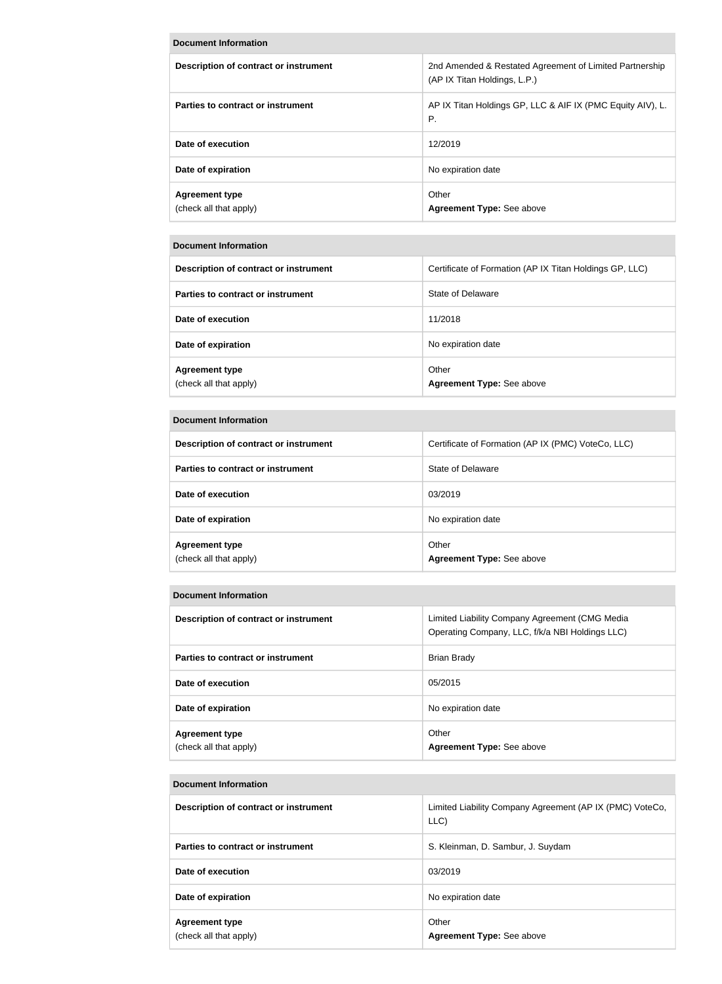| DOCUMENt MIONIMATION                            |                                                                                         |
|-------------------------------------------------|-----------------------------------------------------------------------------------------|
| Description of contract or instrument           | 2nd Amended & Restated Agreement of Limited Partnership<br>(AP IX Titan Holdings, L.P.) |
| Parties to contract or instrument               | AP IX Titan Holdings GP, LLC & AIF IX (PMC Equity AIV), L.<br>Ρ.                        |
| Date of execution                               | 12/2019                                                                                 |
| Date of expiration                              | No expiration date                                                                      |
| <b>Agreement type</b><br>(check all that apply) | Other<br>Agreement Type: See above                                                      |

**Document Information**

| Description of contract or instrument           | Certificate of Formation (AP IX Titan Holdings GP, LLC) |
|-------------------------------------------------|---------------------------------------------------------|
| Parties to contract or instrument               | State of Delaware                                       |
| Date of execution                               | 11/2018                                                 |
| Date of expiration                              | No expiration date                                      |
| <b>Agreement type</b><br>(check all that apply) | Other<br><b>Agreement Type: See above</b>               |

| <b>Document Information</b>                     |                                                    |
|-------------------------------------------------|----------------------------------------------------|
| <b>Description of contract or instrument</b>    | Certificate of Formation (AP IX (PMC) VoteCo, LLC) |
| Parties to contract or instrument               | State of Delaware                                  |
| Date of execution                               | 03/2019                                            |
| Date of expiration                              | No expiration date                                 |
| <b>Agreement type</b><br>(check all that apply) | Other<br><b>Agreement Type: See above</b>          |

# **Document Information**

| Description of contract or instrument           | Limited Liability Company Agreement (CMG Media<br>Operating Company, LLC, f/k/a NBI Holdings LLC) |
|-------------------------------------------------|---------------------------------------------------------------------------------------------------|
| Parties to contract or instrument               | <b>Brian Brady</b>                                                                                |
| Date of execution                               | 05/2015                                                                                           |
| Date of expiration                              | No expiration date                                                                                |
| <b>Agreement type</b><br>(check all that apply) | Other<br>Agreement Type: See above                                                                |

| Description of contract or instrument           | Limited Liability Company Agreement (AP IX (PMC) VoteCo,<br>LLC) |
|-------------------------------------------------|------------------------------------------------------------------|
| Parties to contract or instrument               | S. Kleinman, D. Sambur, J. Suydam                                |
| Date of execution                               | 03/2019                                                          |
| Date of expiration                              | No expiration date                                               |
| <b>Agreement type</b><br>(check all that apply) | Other<br><b>Agreement Type: See above</b>                        |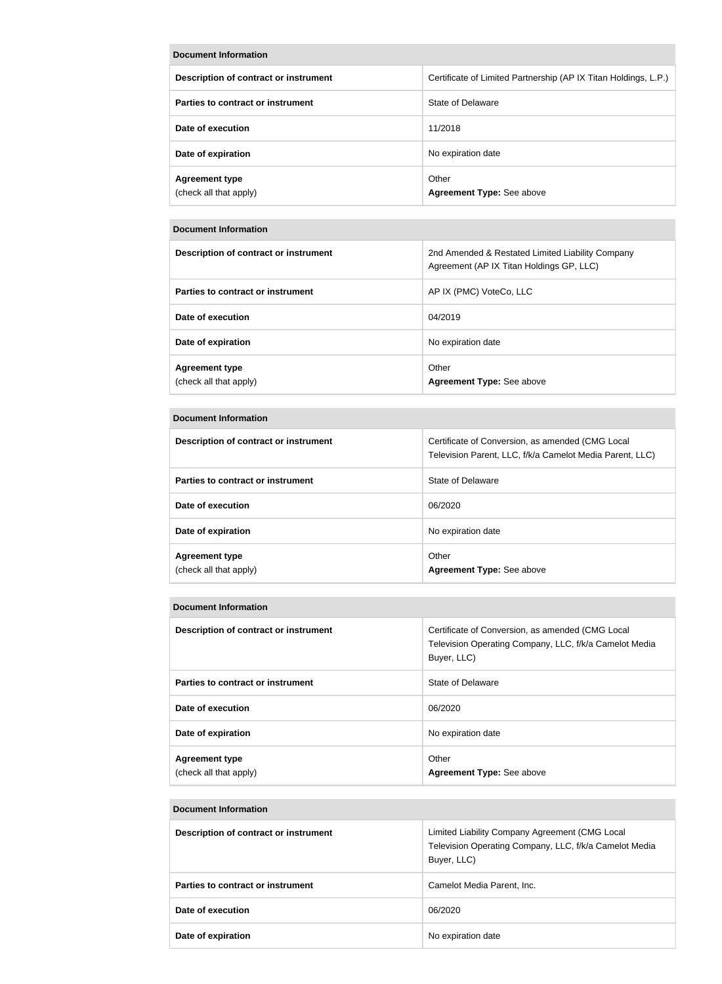| <b>Document Information</b>                     |                                                                 |
|-------------------------------------------------|-----------------------------------------------------------------|
| Description of contract or instrument           | Certificate of Limited Partnership (AP IX Titan Holdings, L.P.) |
| Parties to contract or instrument               | State of Delaware                                               |
| Date of execution                               | 11/2018                                                         |
| Date of expiration                              | No expiration date                                              |
| <b>Agreement type</b><br>(check all that apply) | Other<br>Agreement Type: See above                              |

| Description of contract or instrument           | 2nd Amended & Restated Limited Liability Company<br>Agreement (AP IX Titan Holdings GP, LLC) |
|-------------------------------------------------|----------------------------------------------------------------------------------------------|
| Parties to contract or instrument               | AP IX (PMC) VoteCo, LLC                                                                      |
| Date of execution                               | 04/2019                                                                                      |
| Date of expiration                              | No expiration date                                                                           |
| <b>Agreement type</b><br>(check all that apply) | Other<br>Agreement Type: See above                                                           |

#### **Document Information**

| Description of contract or instrument           | Certificate of Conversion, as amended (CMG Local<br>Television Parent, LLC, f/k/a Camelot Media Parent, LLC) |
|-------------------------------------------------|--------------------------------------------------------------------------------------------------------------|
| Parties to contract or instrument               | State of Delaware                                                                                            |
| Date of execution                               | 06/2020                                                                                                      |
| Date of expiration                              | No expiration date                                                                                           |
| <b>Agreement type</b><br>(check all that apply) | Other<br><b>Agreement Type: See above</b>                                                                    |

# **Document Information**

| Description of contract or instrument           | Certificate of Conversion, as amended (CMG Local<br>Television Operating Company, LLC, f/k/a Camelot Media<br>Buyer, LLC) |
|-------------------------------------------------|---------------------------------------------------------------------------------------------------------------------------|
| Parties to contract or instrument               | State of Delaware                                                                                                         |
| Date of execution                               | 06/2020                                                                                                                   |
| Date of expiration                              | No expiration date                                                                                                        |
| <b>Agreement type</b><br>(check all that apply) | Other<br><b>Agreement Type: See above</b>                                                                                 |

| Description of contract or instrument | Limited Liability Company Agreement (CMG Local<br>Television Operating Company, LLC, f/k/a Camelot Media<br>Buyer, LLC) |
|---------------------------------------|-------------------------------------------------------------------------------------------------------------------------|
| Parties to contract or instrument     | Camelot Media Parent, Inc.                                                                                              |
| Date of execution                     | 06/2020                                                                                                                 |
| Date of expiration                    | No expiration date                                                                                                      |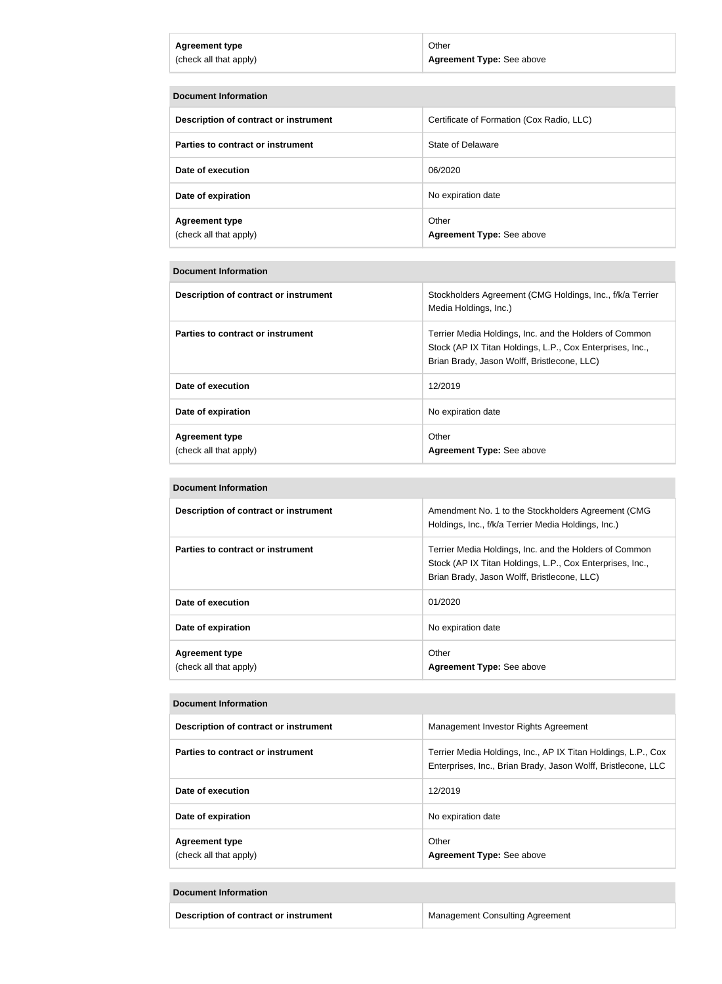| <b>Agreement type</b>  | Other                     |
|------------------------|---------------------------|
| (check all that apply) | Agreement Type: See above |
|                        |                           |

| <b>Document Information</b>                     |                                           |
|-------------------------------------------------|-------------------------------------------|
| Description of contract or instrument           | Certificate of Formation (Cox Radio, LLC) |
| Parties to contract or instrument               | State of Delaware                         |
| Date of execution                               | 06/2020                                   |
| Date of expiration                              | No expiration date                        |
| <b>Agreement type</b><br>(check all that apply) | Other<br>Agreement Type: See above        |

| Description of contract or instrument           | Stockholders Agreement (CMG Holdings, Inc., f/k/a Terrier<br>Media Holdings, Inc.)                                                                                 |
|-------------------------------------------------|--------------------------------------------------------------------------------------------------------------------------------------------------------------------|
| Parties to contract or instrument               | Terrier Media Holdings, Inc. and the Holders of Common<br>Stock (AP IX Titan Holdings, L.P., Cox Enterprises, Inc.,<br>Brian Brady, Jason Wolff, Bristlecone, LLC) |
| Date of execution                               | 12/2019                                                                                                                                                            |
| Date of expiration                              | No expiration date                                                                                                                                                 |
| <b>Agreement type</b><br>(check all that apply) | Other<br><b>Agreement Type: See above</b>                                                                                                                          |

# **Document Information**

| Description of contract or instrument           | Amendment No. 1 to the Stockholders Agreement (CMG<br>Holdings, Inc., f/k/a Terrier Media Holdings, Inc.)                                                          |
|-------------------------------------------------|--------------------------------------------------------------------------------------------------------------------------------------------------------------------|
| Parties to contract or instrument               | Terrier Media Holdings, Inc. and the Holders of Common<br>Stock (AP IX Titan Holdings, L.P., Cox Enterprises, Inc.,<br>Brian Brady, Jason Wolff, Bristlecone, LLC) |
| Date of execution                               | 01/2020                                                                                                                                                            |
| Date of expiration                              | No expiration date                                                                                                                                                 |
| <b>Agreement type</b><br>(check all that apply) | Other<br><b>Agreement Type: See above</b>                                                                                                                          |

# **Document Information**

| Description of contract or instrument           | Management Investor Rights Agreement                                                                                           |
|-------------------------------------------------|--------------------------------------------------------------------------------------------------------------------------------|
| Parties to contract or instrument               | Terrier Media Holdings, Inc., AP IX Titan Holdings, L.P., Cox<br>Enterprises, Inc., Brian Brady, Jason Wolff, Bristlecone, LLC |
| Date of execution                               | 12/2019                                                                                                                        |
| Date of expiration                              | No expiration date                                                                                                             |
| <b>Agreement type</b><br>(check all that apply) | Other<br><b>Agreement Type: See above</b>                                                                                      |

| Description of contract or instrument | <b>Management Consulting Agreement</b> |
|---------------------------------------|----------------------------------------|
|                                       |                                        |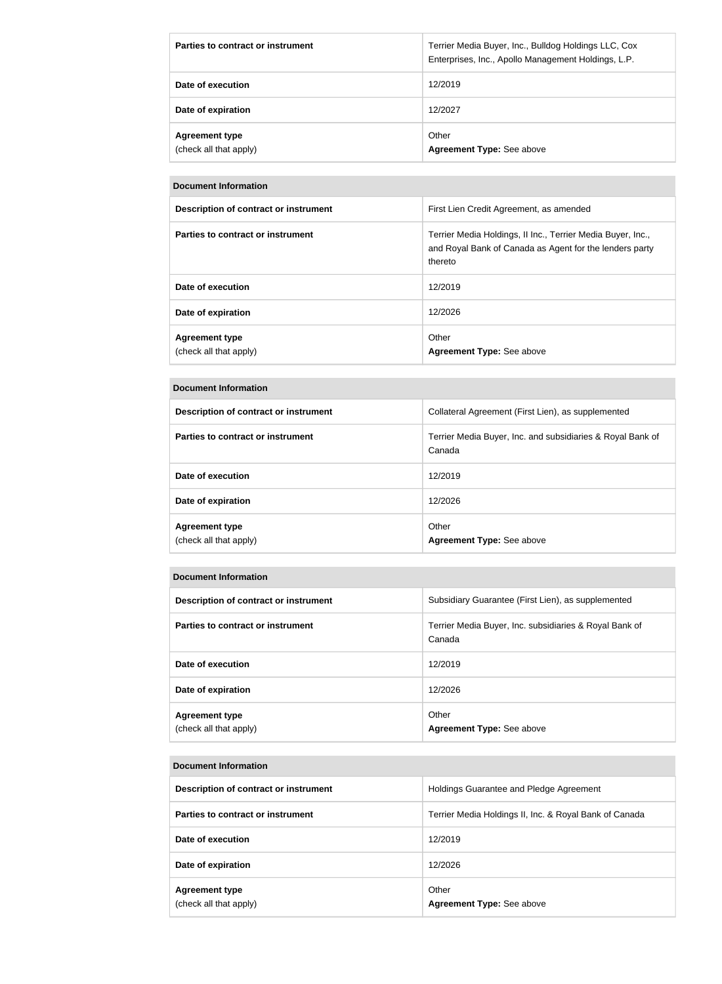| Parties to contract or instrument               | Terrier Media Buyer, Inc., Bulldog Holdings LLC, Cox<br>Enterprises, Inc., Apollo Management Holdings, L.P. |
|-------------------------------------------------|-------------------------------------------------------------------------------------------------------------|
| Date of execution                               | 12/2019                                                                                                     |
| Date of expiration                              | 12/2027                                                                                                     |
| <b>Agreement type</b><br>(check all that apply) | Other<br><b>Agreement Type: See above</b>                                                                   |

| Document Information                            |                                                                                                                                   |
|-------------------------------------------------|-----------------------------------------------------------------------------------------------------------------------------------|
| Description of contract or instrument           | First Lien Credit Agreement, as amended                                                                                           |
| Parties to contract or instrument               | Terrier Media Holdings, II Inc., Terrier Media Buyer, Inc.,<br>and Royal Bank of Canada as Agent for the lenders party<br>thereto |
| Date of execution                               | 12/2019                                                                                                                           |
| Date of expiration                              | 12/2026                                                                                                                           |
| <b>Agreement type</b><br>(check all that apply) | Other<br>Agreement Type: See above                                                                                                |

|  | <b>Document Information</b> |
|--|-----------------------------|
|--|-----------------------------|

| Description of contract or instrument           | Collateral Agreement (First Lien), as supplemented                   |
|-------------------------------------------------|----------------------------------------------------------------------|
| Parties to contract or instrument               | Terrier Media Buyer, Inc. and subsidiaries & Royal Bank of<br>Canada |
| Date of execution                               | 12/2019                                                              |
| Date of expiration                              | 12/2026                                                              |
| <b>Agreement type</b><br>(check all that apply) | Other<br>Agreement Type: See above                                   |

| Description of contract or instrument           | Subsidiary Guarantee (First Lien), as supplemented               |
|-------------------------------------------------|------------------------------------------------------------------|
| Parties to contract or instrument               | Terrier Media Buyer, Inc. subsidiaries & Royal Bank of<br>Canada |
| Date of execution                               | 12/2019                                                          |
| Date of expiration                              | 12/2026                                                          |
| <b>Agreement type</b><br>(check all that apply) | Other<br>Agreement Type: See above                               |

| Description of contract or instrument           | Holdings Guarantee and Pledge Agreement                |
|-------------------------------------------------|--------------------------------------------------------|
| Parties to contract or instrument               | Terrier Media Holdings II, Inc. & Royal Bank of Canada |
| Date of execution                               | 12/2019                                                |
| Date of expiration                              | 12/2026                                                |
| <b>Agreement type</b><br>(check all that apply) | Other<br>Agreement Type: See above                     |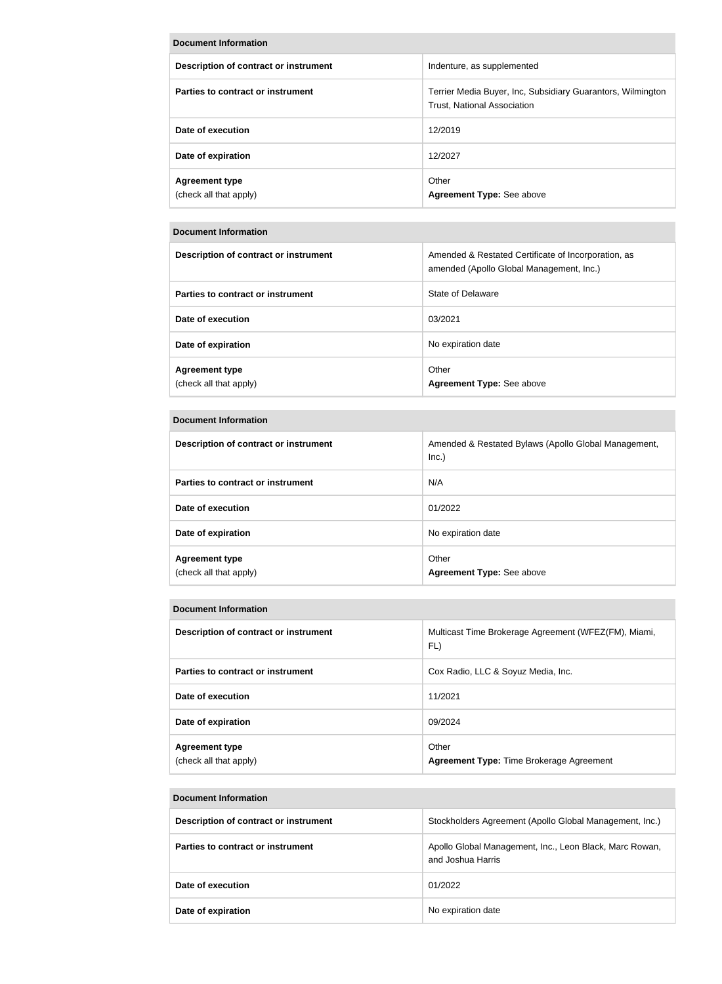| <b>Document Information</b>                     |                                                                                                   |
|-------------------------------------------------|---------------------------------------------------------------------------------------------------|
| Description of contract or instrument           | Indenture, as supplemented                                                                        |
| Parties to contract or instrument               | Terrier Media Buyer, Inc, Subsidiary Guarantors, Wilmington<br><b>Trust, National Association</b> |
| Date of execution                               | 12/2019                                                                                           |
| Date of expiration                              | 12/2027                                                                                           |
| <b>Agreement type</b><br>(check all that apply) | Other<br>Agreement Type: See above                                                                |

| Description of contract or instrument           | Amended & Restated Certificate of Incorporation, as<br>amended (Apollo Global Management, Inc.) |
|-------------------------------------------------|-------------------------------------------------------------------------------------------------|
| Parties to contract or instrument               | State of Delaware                                                                               |
| Date of execution                               | 03/2021                                                                                         |
| Date of expiration                              | No expiration date                                                                              |
| <b>Agreement type</b><br>(check all that apply) | Other<br>Agreement Type: See above                                                              |

# **Document Information**

| Description of contract or instrument           | Amended & Restated Bylaws (Apollo Global Management,<br>Inc.) |
|-------------------------------------------------|---------------------------------------------------------------|
| Parties to contract or instrument               | N/A                                                           |
| Date of execution                               | 01/2022                                                       |
| Date of expiration                              | No expiration date                                            |
| <b>Agreement type</b><br>(check all that apply) | Other<br><b>Agreement Type: See above</b>                     |

| Description of contract or instrument           | Multicast Time Brokerage Agreement (WFEZ(FM), Miami,<br>FL) |
|-------------------------------------------------|-------------------------------------------------------------|
| Parties to contract or instrument               | Cox Radio, LLC & Soyuz Media, Inc.                          |
| Date of execution                               | 11/2021                                                     |
| Date of expiration                              | 09/2024                                                     |
| <b>Agreement type</b><br>(check all that apply) | Other<br><b>Agreement Type: Time Brokerage Agreement</b>    |

| Document Information                  |                                                                              |  |
|---------------------------------------|------------------------------------------------------------------------------|--|
| Description of contract or instrument | Stockholders Agreement (Apollo Global Management, Inc.)                      |  |
| Parties to contract or instrument     | Apollo Global Management, Inc., Leon Black, Marc Rowan,<br>and Joshua Harris |  |
| Date of execution                     | 01/2022                                                                      |  |
| Date of expiration                    | No expiration date                                                           |  |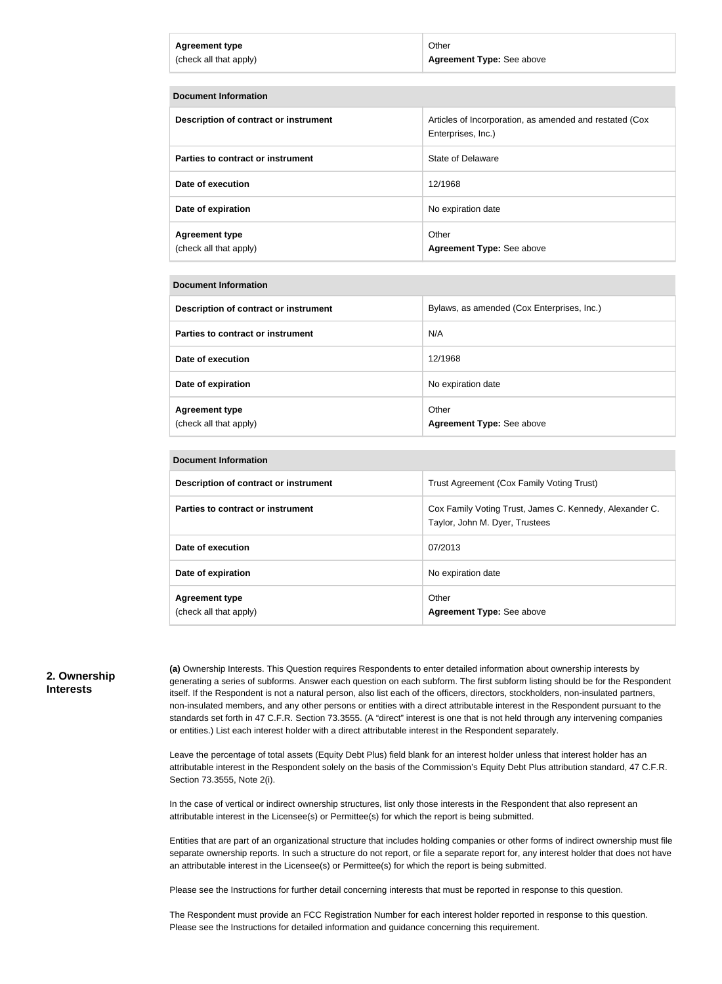| <b>Agreement type</b>  | Other                            |
|------------------------|----------------------------------|
| (check all that apply) | <b>Agreement Type: See above</b> |
|                        |                                  |

| <b>Document Information</b>                     |                                                                               |  |
|-------------------------------------------------|-------------------------------------------------------------------------------|--|
| Description of contract or instrument           | Articles of Incorporation, as amended and restated (Cox<br>Enterprises, Inc.) |  |
| Parties to contract or instrument               | State of Delaware                                                             |  |
| Date of execution                               | 12/1968                                                                       |  |
| Date of expiration                              | No expiration date                                                            |  |
| <b>Agreement type</b><br>(check all that apply) | Other<br>Agreement Type: See above                                            |  |

| Description of contract or instrument           | Bylaws, as amended (Cox Enterprises, Inc.) |
|-------------------------------------------------|--------------------------------------------|
| Parties to contract or instrument               | N/A                                        |
| Date of execution                               | 12/1968                                    |
| Date of expiration                              | No expiration date                         |
| <b>Agreement type</b><br>(check all that apply) | Other<br>Agreement Type: See above         |

| <b>Document Information</b>                     |                                                                                           |  |
|-------------------------------------------------|-------------------------------------------------------------------------------------------|--|
| Description of contract or instrument           | Trust Agreement (Cox Family Voting Trust)                                                 |  |
| Parties to contract or instrument               | Cox Family Voting Trust, James C. Kennedy, Alexander C.<br>Taylor, John M. Dyer, Trustees |  |
| Date of execution                               | 07/2013                                                                                   |  |
| Date of expiration                              | No expiration date                                                                        |  |
| <b>Agreement type</b><br>(check all that apply) | Other<br><b>Agreement Type: See above</b>                                                 |  |

#### **2. Ownership Interests**

**(a)** Ownership Interests. This Question requires Respondents to enter detailed information about ownership interests by generating a series of subforms. Answer each question on each subform. The first subform listing should be for the Respondent itself. If the Respondent is not a natural person, also list each of the officers, directors, stockholders, non-insulated partners, non-insulated members, and any other persons or entities with a direct attributable interest in the Respondent pursuant to the standards set forth in 47 C.F.R. Section 73.3555. (A "direct" interest is one that is not held through any intervening companies or entities.) List each interest holder with a direct attributable interest in the Respondent separately.

Leave the percentage of total assets (Equity Debt Plus) field blank for an interest holder unless that interest holder has an attributable interest in the Respondent solely on the basis of the Commission's Equity Debt Plus attribution standard, 47 C.F.R. Section 73.3555, Note 2(i).

In the case of vertical or indirect ownership structures, list only those interests in the Respondent that also represent an attributable interest in the Licensee(s) or Permittee(s) for which the report is being submitted.

Entities that are part of an organizational structure that includes holding companies or other forms of indirect ownership must file separate ownership reports. In such a structure do not report, or file a separate report for, any interest holder that does not have an attributable interest in the Licensee(s) or Permittee(s) for which the report is being submitted.

Please see the Instructions for further detail concerning interests that must be reported in response to this question.

The Respondent must provide an FCC Registration Number for each interest holder reported in response to this question. Please see the Instructions for detailed information and guidance concerning this requirement.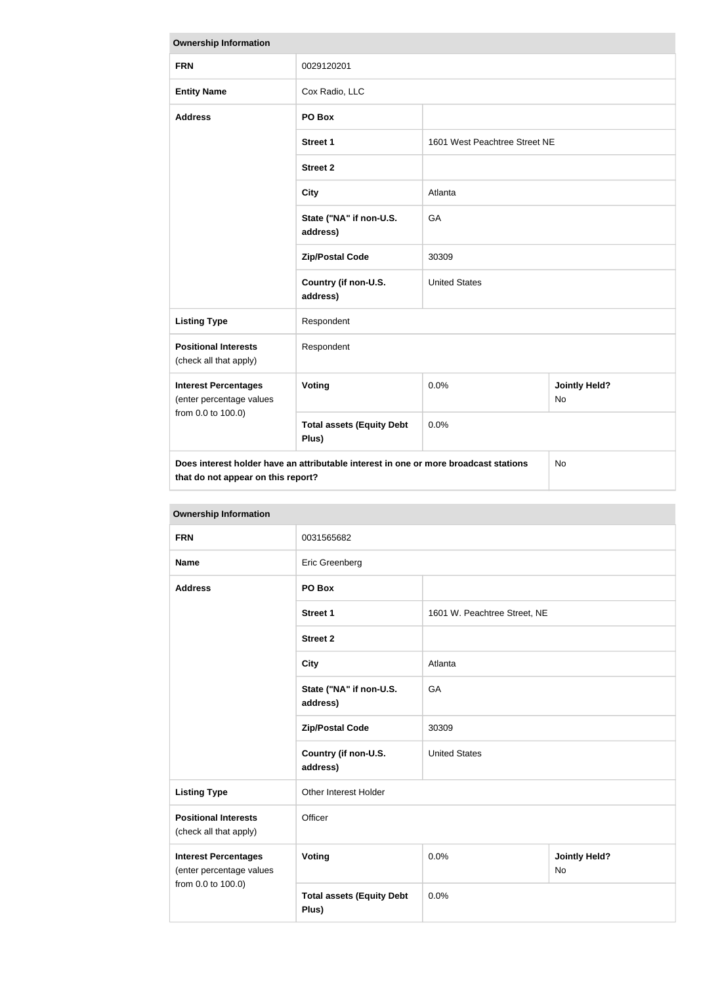| <b>Ownership Information</b>                                                                                               |                                           |                               |                            |
|----------------------------------------------------------------------------------------------------------------------------|-------------------------------------------|-------------------------------|----------------------------|
| <b>FRN</b>                                                                                                                 | 0029120201                                |                               |                            |
| <b>Entity Name</b>                                                                                                         | Cox Radio, LLC                            |                               |                            |
| <b>Address</b>                                                                                                             | PO Box                                    |                               |                            |
|                                                                                                                            | <b>Street 1</b>                           | 1601 West Peachtree Street NE |                            |
|                                                                                                                            | <b>Street 2</b>                           |                               |                            |
|                                                                                                                            | <b>City</b>                               | Atlanta                       |                            |
|                                                                                                                            | State ("NA" if non-U.S.<br>address)       | GA                            |                            |
|                                                                                                                            | <b>Zip/Postal Code</b>                    | 30309                         |                            |
|                                                                                                                            | Country (if non-U.S.<br>address)          | <b>United States</b>          |                            |
| <b>Listing Type</b>                                                                                                        | Respondent                                |                               |                            |
| <b>Positional Interests</b><br>(check all that apply)                                                                      | Respondent                                |                               |                            |
| <b>Interest Percentages</b><br>(enter percentage values                                                                    | <b>Voting</b>                             | 0.0%                          | <b>Jointly Held?</b><br>No |
| from 0.0 to 100.0)                                                                                                         | <b>Total assets (Equity Debt</b><br>Plus) | 0.0%                          |                            |
| Does interest holder have an attributable interest in one or more broadcast stations<br>that do not appear on this report? |                                           | <b>No</b>                     |                            |

| <b>Ownership Information</b>                                                  |                                           |                              |                                   |  |
|-------------------------------------------------------------------------------|-------------------------------------------|------------------------------|-----------------------------------|--|
| <b>FRN</b>                                                                    | 0031565682                                |                              |                                   |  |
| <b>Name</b>                                                                   | Eric Greenberg                            |                              |                                   |  |
| <b>Address</b>                                                                | PO Box                                    |                              |                                   |  |
|                                                                               | <b>Street 1</b>                           | 1601 W. Peachtree Street, NE |                                   |  |
|                                                                               | <b>Street 2</b>                           |                              |                                   |  |
|                                                                               | <b>City</b>                               | Atlanta                      |                                   |  |
|                                                                               | State ("NA" if non-U.S.<br>address)       | GA                           |                                   |  |
|                                                                               | <b>Zip/Postal Code</b>                    | 30309                        |                                   |  |
|                                                                               | Country (if non-U.S.<br>address)          | <b>United States</b>         |                                   |  |
| <b>Listing Type</b>                                                           | Other Interest Holder                     |                              |                                   |  |
| <b>Positional Interests</b><br>(check all that apply)                         | Officer                                   |                              |                                   |  |
| <b>Interest Percentages</b><br>(enter percentage values<br>from 0.0 to 100.0) | <b>Voting</b>                             | 0.0%                         | <b>Jointly Held?</b><br><b>No</b> |  |
|                                                                               | <b>Total assets (Equity Debt</b><br>Plus) | 0.0%                         |                                   |  |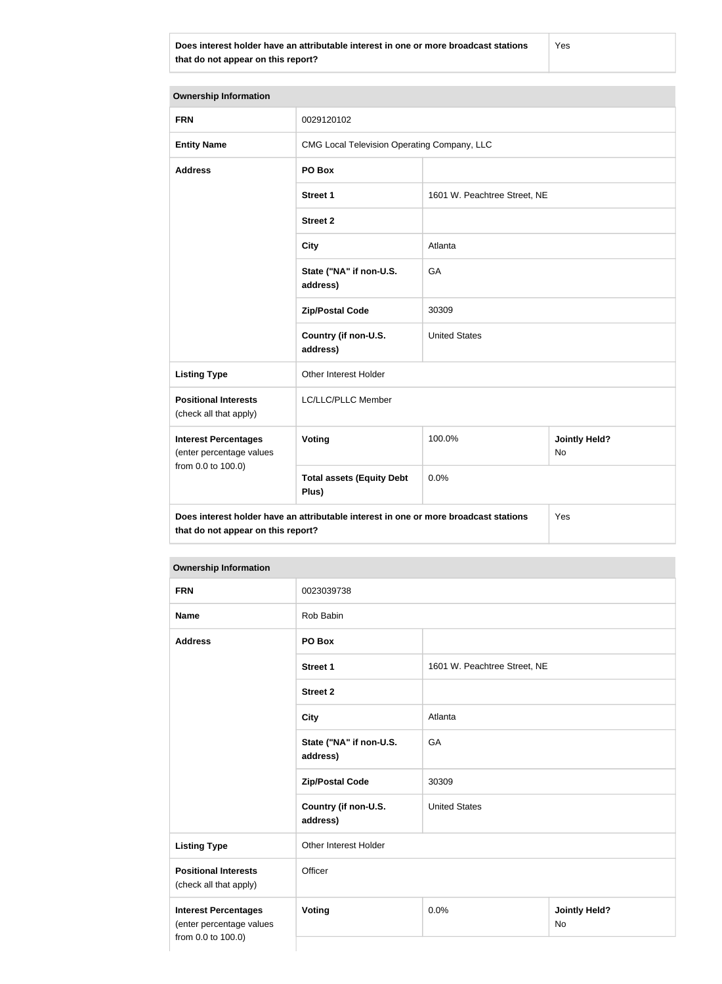**Does interest holder have an attributable interest in one or more broadcast stations that do not appear on this report?**

Yes

| <b>Ownership Information</b>                                                                                                      |                                             |                              |                            |  |
|-----------------------------------------------------------------------------------------------------------------------------------|---------------------------------------------|------------------------------|----------------------------|--|
| <b>FRN</b>                                                                                                                        | 0029120102                                  |                              |                            |  |
| <b>Entity Name</b>                                                                                                                | CMG Local Television Operating Company, LLC |                              |                            |  |
| <b>Address</b>                                                                                                                    | PO Box                                      |                              |                            |  |
|                                                                                                                                   | <b>Street 1</b>                             | 1601 W. Peachtree Street, NE |                            |  |
|                                                                                                                                   | <b>Street 2</b>                             |                              |                            |  |
|                                                                                                                                   | <b>City</b>                                 | Atlanta                      |                            |  |
|                                                                                                                                   | State ("NA" if non-U.S.<br>address)         | GA                           |                            |  |
|                                                                                                                                   | <b>Zip/Postal Code</b>                      | 30309                        |                            |  |
|                                                                                                                                   | Country (if non-U.S.<br>address)            | <b>United States</b>         |                            |  |
| <b>Listing Type</b>                                                                                                               | Other Interest Holder                       |                              |                            |  |
| <b>Positional Interests</b><br>(check all that apply)                                                                             | LC/LLC/PLLC Member                          |                              |                            |  |
| <b>Interest Percentages</b><br>(enter percentage values                                                                           | Voting                                      | 100.0%                       | <b>Jointly Held?</b><br>No |  |
| from 0.0 to 100.0)                                                                                                                | <b>Total assets (Equity Debt</b><br>Plus)   | 0.0%                         |                            |  |
| Does interest holder have an attributable interest in one or more broadcast stations<br>Yes<br>that do not appear on this report? |                                             |                              |                            |  |

# **Ownership Information**

| <b>FRN</b>                                                                    | 0023039738                          |                              |                            |  |
|-------------------------------------------------------------------------------|-------------------------------------|------------------------------|----------------------------|--|
| <b>Name</b>                                                                   | Rob Babin                           |                              |                            |  |
| <b>Address</b>                                                                | PO Box                              |                              |                            |  |
|                                                                               | <b>Street 1</b>                     | 1601 W. Peachtree Street, NE |                            |  |
|                                                                               | <b>Street 2</b>                     |                              |                            |  |
|                                                                               | <b>City</b>                         | Atlanta                      |                            |  |
|                                                                               | State ("NA" if non-U.S.<br>address) | GA                           |                            |  |
|                                                                               | <b>Zip/Postal Code</b>              | 30309                        |                            |  |
|                                                                               | Country (if non-U.S.<br>address)    | <b>United States</b>         |                            |  |
| <b>Listing Type</b>                                                           | Other Interest Holder               |                              |                            |  |
| <b>Positional Interests</b><br>(check all that apply)                         | Officer                             |                              |                            |  |
| <b>Interest Percentages</b><br>(enter percentage values<br>from 0.0 to 100.0) | Voting                              | 0.0%                         | <b>Jointly Held?</b><br>No |  |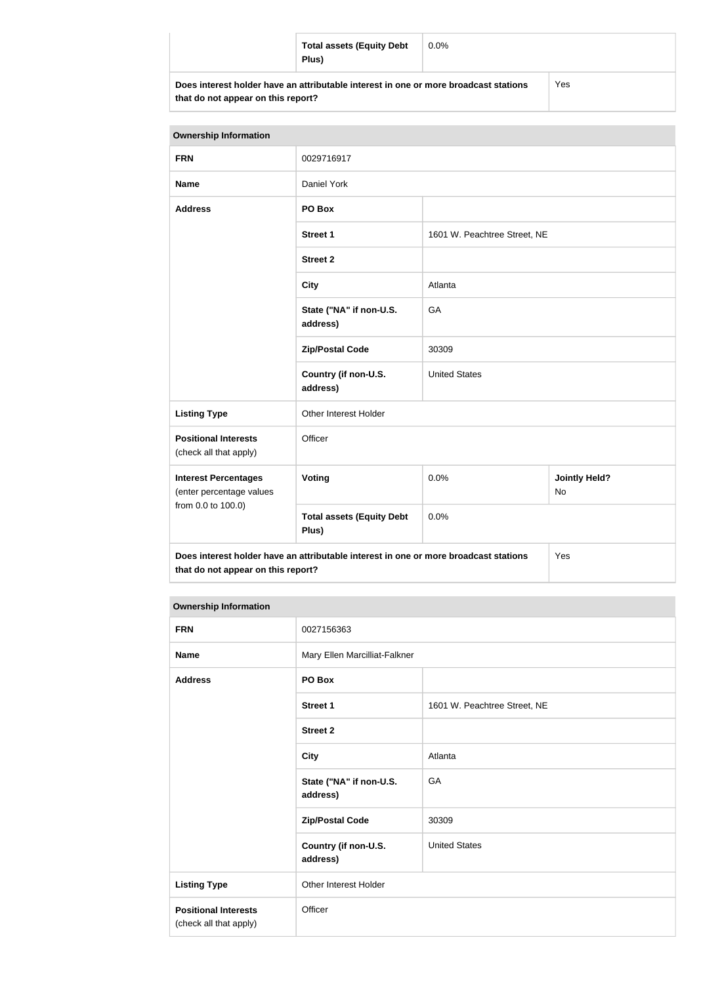| <b>Total assets (Equity Debt</b><br>Plus)                                            | $0.0\%$ |     |
|--------------------------------------------------------------------------------------|---------|-----|
| Does interest holder have an attributable interest in one or more broadcast stations |         | Yes |

**that do not appear on this report?**

| <b>Ownership Information</b>                                                  |                                                                                      |                              |                                   |
|-------------------------------------------------------------------------------|--------------------------------------------------------------------------------------|------------------------------|-----------------------------------|
| <b>FRN</b>                                                                    | 0029716917                                                                           |                              |                                   |
| <b>Name</b>                                                                   | Daniel York                                                                          |                              |                                   |
| <b>Address</b>                                                                | PO Box                                                                               |                              |                                   |
|                                                                               | <b>Street 1</b>                                                                      | 1601 W. Peachtree Street, NE |                                   |
|                                                                               | <b>Street 2</b>                                                                      |                              |                                   |
|                                                                               | <b>City</b>                                                                          | Atlanta                      |                                   |
|                                                                               | State ("NA" if non-U.S.<br>address)                                                  | GA                           |                                   |
|                                                                               | <b>Zip/Postal Code</b>                                                               | 30309                        |                                   |
|                                                                               | Country (if non-U.S.<br>address)                                                     | <b>United States</b>         |                                   |
| <b>Listing Type</b>                                                           | Other Interest Holder                                                                |                              |                                   |
| <b>Positional Interests</b><br>(check all that apply)                         | Officer                                                                              |                              |                                   |
| <b>Interest Percentages</b><br>(enter percentage values<br>from 0.0 to 100.0) | Voting                                                                               | 0.0%                         | <b>Jointly Held?</b><br><b>No</b> |
|                                                                               | <b>Total assets (Equity Debt</b><br>Plus)                                            | 0.0%                         |                                   |
| that do not appear on this report?                                            | Does interest holder have an attributable interest in one or more broadcast stations |                              | Yes                               |

# **Ownership Information**

| <b>FRN</b>                                            | 0027156363                          |                              |
|-------------------------------------------------------|-------------------------------------|------------------------------|
| <b>Name</b>                                           | Mary Ellen Marcilliat-Falkner       |                              |
| <b>Address</b>                                        | PO Box                              |                              |
|                                                       | <b>Street 1</b>                     | 1601 W. Peachtree Street, NE |
|                                                       | <b>Street 2</b>                     |                              |
|                                                       | <b>City</b>                         | Atlanta                      |
|                                                       | State ("NA" if non-U.S.<br>address) | GA                           |
|                                                       | <b>Zip/Postal Code</b>              | 30309                        |
|                                                       | Country (if non-U.S.<br>address)    | <b>United States</b>         |
| <b>Listing Type</b>                                   | Other Interest Holder               |                              |
| <b>Positional Interests</b><br>(check all that apply) | Officer                             |                              |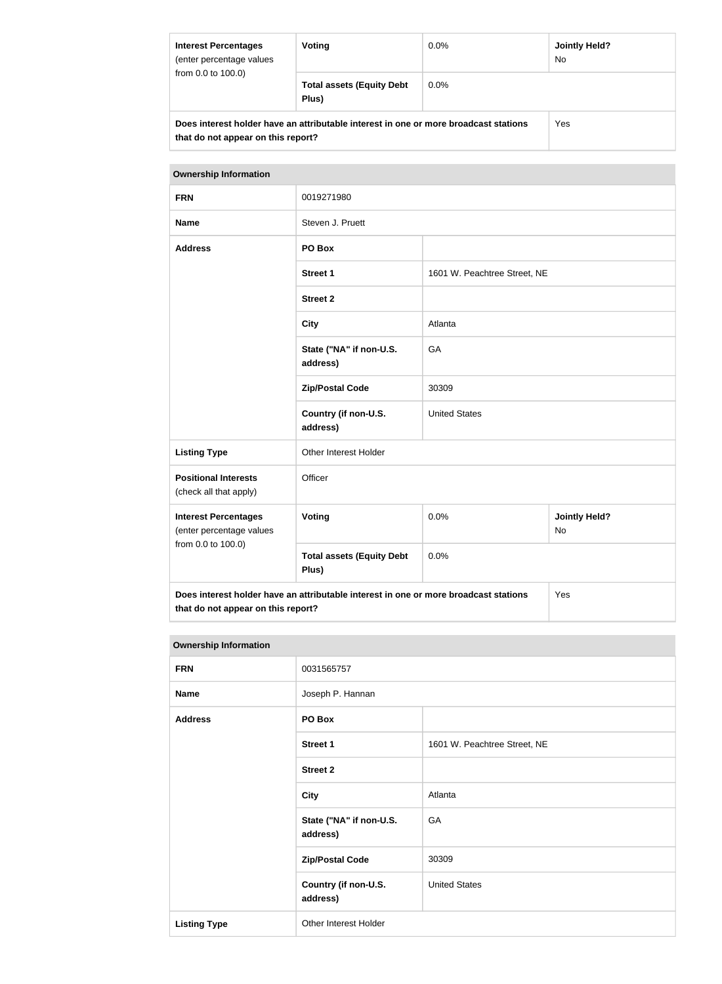| <b>Interest Percentages</b><br>(enter percentage values)<br>from 0.0 to 100.0)                                             | Voting                                    | $0.0\%$ | <b>Jointly Held?</b><br>No. |
|----------------------------------------------------------------------------------------------------------------------------|-------------------------------------------|---------|-----------------------------|
|                                                                                                                            | <b>Total assets (Equity Debt</b><br>Plus) | $0.0\%$ |                             |
| Does interest holder have an attributable interest in one or more broadcast stations<br>that do not appear on this report? |                                           | Yes     |                             |

| <b>Ownership Information</b>                                                  |                                                                                      |                              |                            |
|-------------------------------------------------------------------------------|--------------------------------------------------------------------------------------|------------------------------|----------------------------|
| <b>FRN</b>                                                                    | 0019271980                                                                           |                              |                            |
| <b>Name</b>                                                                   | Steven J. Pruett                                                                     |                              |                            |
| <b>Address</b>                                                                | PO Box                                                                               |                              |                            |
|                                                                               | Street 1                                                                             | 1601 W. Peachtree Street, NE |                            |
|                                                                               | <b>Street 2</b>                                                                      |                              |                            |
|                                                                               | <b>City</b>                                                                          | Atlanta                      |                            |
|                                                                               | State ("NA" if non-U.S.<br>address)                                                  | GA                           |                            |
|                                                                               | <b>Zip/Postal Code</b>                                                               | 30309                        |                            |
|                                                                               | Country (if non-U.S.<br>address)                                                     | <b>United States</b>         |                            |
| <b>Listing Type</b>                                                           | Other Interest Holder                                                                |                              |                            |
| <b>Positional Interests</b><br>(check all that apply)                         | Officer                                                                              |                              |                            |
| <b>Interest Percentages</b><br>(enter percentage values<br>from 0.0 to 100.0) | Voting                                                                               | 0.0%                         | <b>Jointly Held?</b><br>No |
|                                                                               | <b>Total assets (Equity Debt</b><br>Plus)                                            | 0.0%                         |                            |
| that do not appear on this report?                                            | Does interest holder have an attributable interest in one or more broadcast stations |                              | Yes                        |

#### **Ownership Information**

| <b>FRN</b>          | 0031565757                          |                              |
|---------------------|-------------------------------------|------------------------------|
| <b>Name</b>         | Joseph P. Hannan                    |                              |
| <b>Address</b>      | PO Box                              |                              |
|                     | <b>Street 1</b>                     | 1601 W. Peachtree Street, NE |
|                     | <b>Street 2</b>                     |                              |
|                     | <b>City</b>                         | Atlanta                      |
|                     | State ("NA" if non-U.S.<br>address) | GA                           |
|                     | <b>Zip/Postal Code</b>              | 30309                        |
|                     | Country (if non-U.S.<br>address)    | <b>United States</b>         |
| <b>Listing Type</b> | Other Interest Holder               |                              |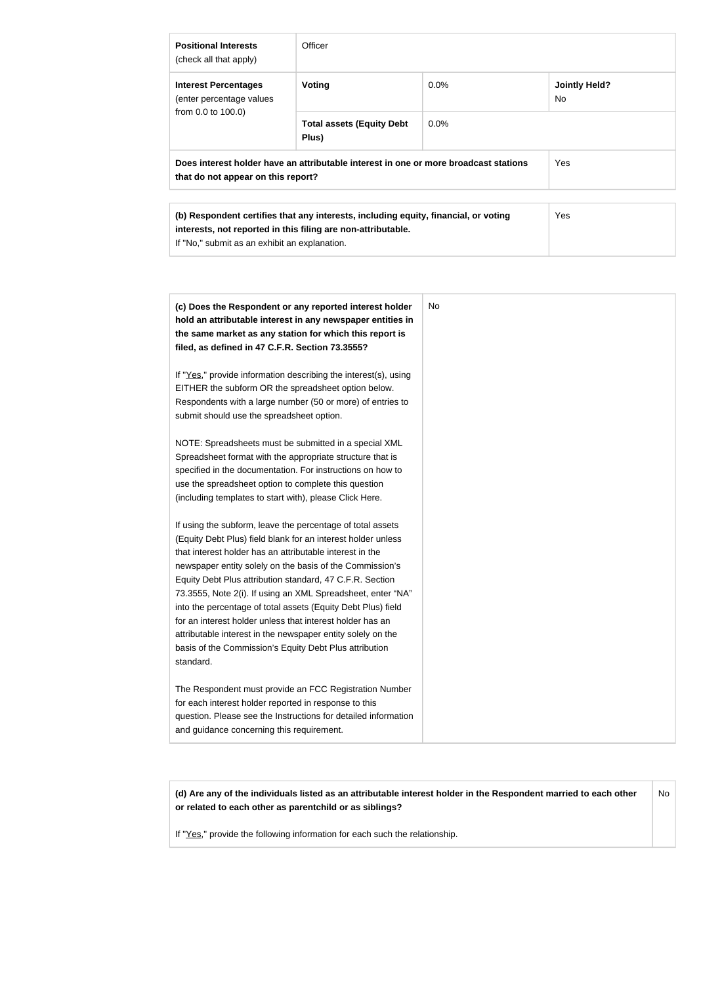| <b>Positional Interests</b><br>(check all that apply)                                                                                                                                                | Officer                                   |         |                                        |
|------------------------------------------------------------------------------------------------------------------------------------------------------------------------------------------------------|-------------------------------------------|---------|----------------------------------------|
| <b>Interest Percentages</b><br>(enter percentage values)<br>from 0.0 to 100.0)                                                                                                                       | Voting                                    | $0.0\%$ | <b>Jointly Held?</b><br>N <sub>o</sub> |
|                                                                                                                                                                                                      | <b>Total assets (Equity Debt</b><br>Plus) | 0.0%    |                                        |
| Does interest holder have an attributable interest in one or more broadcast stations<br>that do not appear on this report?                                                                           |                                           | Yes     |                                        |
|                                                                                                                                                                                                      |                                           |         |                                        |
| (b) Respondent certifies that any interests, including equity, financial, or voting<br>interests, not reported in this filing are non-attributable.<br>If "No," submit as an exhibit an explanation. |                                           | Yes     |                                        |

| (c) Does the Respondent or any reported interest holder<br>hold an attributable interest in any newspaper entities in<br>the same market as any station for which this report is<br>filed, as defined in 47 C.F.R. Section 73.3555?                                                                                                                                                                                                                                                                                                                                                                                                              | No |
|--------------------------------------------------------------------------------------------------------------------------------------------------------------------------------------------------------------------------------------------------------------------------------------------------------------------------------------------------------------------------------------------------------------------------------------------------------------------------------------------------------------------------------------------------------------------------------------------------------------------------------------------------|----|
| If "Yes," provide information describing the interest(s), using<br>EITHER the subform OR the spreadsheet option below.<br>Respondents with a large number (50 or more) of entries to<br>submit should use the spreadsheet option.                                                                                                                                                                                                                                                                                                                                                                                                                |    |
| NOTE: Spreadsheets must be submitted in a special XML<br>Spreadsheet format with the appropriate structure that is<br>specified in the documentation. For instructions on how to<br>use the spreadsheet option to complete this question<br>(including templates to start with), please Click Here.                                                                                                                                                                                                                                                                                                                                              |    |
| If using the subform, leave the percentage of total assets<br>(Equity Debt Plus) field blank for an interest holder unless<br>that interest holder has an attributable interest in the<br>newspaper entity solely on the basis of the Commission's<br>Equity Debt Plus attribution standard, 47 C.F.R. Section<br>73.3555, Note 2(i). If using an XML Spreadsheet, enter "NA"<br>into the percentage of total assets (Equity Debt Plus) field<br>for an interest holder unless that interest holder has an<br>attributable interest in the newspaper entity solely on the<br>basis of the Commission's Equity Debt Plus attribution<br>standard. |    |
| The Respondent must provide an FCC Registration Number<br>for each interest holder reported in response to this<br>question. Please see the Instructions for detailed information<br>and guidance concerning this requirement.                                                                                                                                                                                                                                                                                                                                                                                                                   |    |

**(d) Are any of the individuals listed as an attributable interest holder in the Respondent married to each other or related to each other as parentchild or as siblings?** No

If "Yes," provide the following information for each such the relationship.